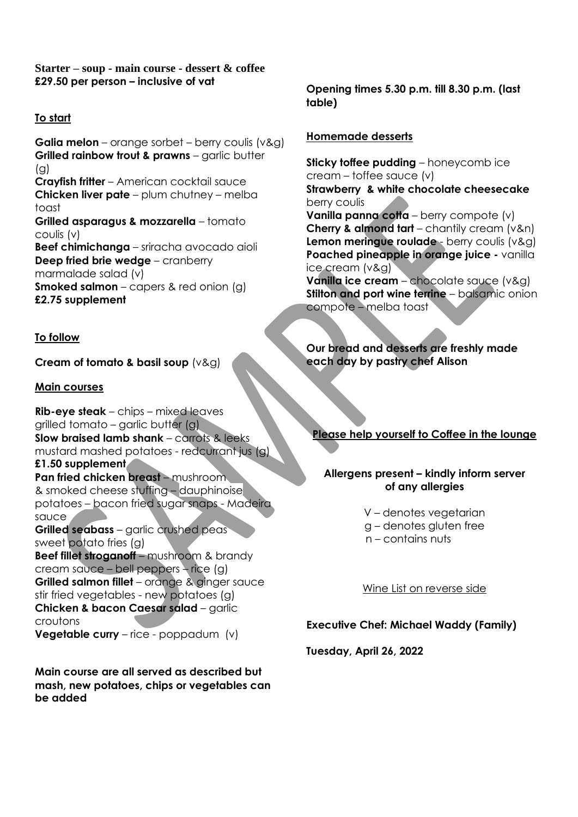## **Starter – soup - main course - dessert & coffee £29.50 per person – inclusive of vat**

# **To start**

**Galia melon** – orange sorbet – berry coulis (v&g) **Grilled rainbow trout & prawns** – garlic butter (g) **Crayfish fritter** – American cocktail sauce **Chicken liver pate** – plum chutney – melba toast **Grilled asparagus & mozzarella** – tomato coulis (v) **Beef chimichanga** – sriracha avocado aioli **Deep fried brie wedge** – cranberry marmalade salad (v) **Smoked salmon** – capers & red onion (g) **£2.75 supplement**

## **To follow**

## **Cream of tomato & basil soup** (v&g)

### **Main courses**

**Rib-eye steak** – chips – mixed leaves grilled tomato – garlic butter (g) **Slow braised lamb shank** – carrots & leeks mustard mashed potatoes - redcurrant jus (g) **£1.50 supplement Pan fried chicken breast** – mushroom & smoked cheese stuffing – dauphinoise potatoes – bacon fried sugar snaps - Madeira sauce **Grilled seabass** – garlic crushed peas sweet potato fries (g) **Beef fillet stroganoff** – mushroom & brandy cream sauce – bell peppers – rice (g) **Grilled salmon fillet** – orange & ginger sauce stir fried vegetables - new potatoes (g) **Chicken & bacon Caesar salad** – garlic croutons **Vegetable curry** – rice - poppadum (v)

**Main course are all served as described but mash, new potatoes, chips or vegetables can be added**

**Opening times 5.30 p.m. till 8.30 p.m. (last table)**

### **Homemade desserts**

**Sticky toffee pudding** – honeycomb ice cream – toffee sauce (v) **Strawberry & white chocolate cheesecake**  berry coulis **Vanilla panna cotta** – berry compote (v)

**Cherry & almond tart** – chantily cream (v&n) **Lemon meringue roulade** - berry coulis (v&g) **Poached pineapple in orange juice -** vanilla ice cream (v&g)

**Vanilla ice cream** – chocolate sauce (v&g) **Stilton and port wine terrine** – balsamic onion compote – melba toast

**Our bread and desserts are freshly made each day by pastry chef Alison** 

# **Please help yourself to Coffee in the lounge**

### **Allergens present – kindly inform server of any allergies**

V – denotes vegetarian g – denotes gluten free n – contains nuts

Wine List on reverse side

## **Executive Chef: Michael Waddy (Family)**

**Tuesday, April 26, 2022**